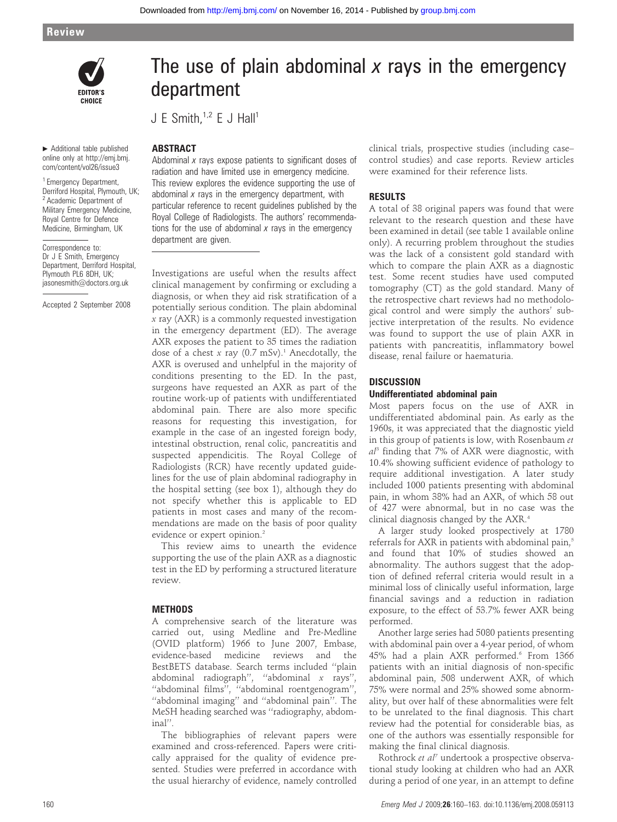

 $\blacktriangleright$  Additional table published online only at http://emj.bmj. com/content/vol26/issue3

<sup>1</sup> Emergency Department, Derriford Hospital, Plymouth, UK; <sup>2</sup> Academic Department of Military Emergency Medicine, Royal Centre for Defence Medicine, Birmingham, UK

Correspondence to: Dr J E Smith, Emergency Department, Derriford Hospital, Plymouth PL6 8DH, UK; jasonesmith@doctors.org.uk

Accepted 2 September 2008

# Downloaded from<http://emj.bmj.com/>on November 16, 2014 - Published by [group.bmj.com](http://group.bmj.com)

# The use of plain abdominal  $x$  rays in the emergency department

J E Smith.<sup>1,2</sup> E J Hall<sup>1</sup>

#### ABSTRACT

Abdominal  $x$  rays expose patients to significant doses of radiation and have limited use in emergency medicine. This review explores the evidence supporting the use of abdominal  $x$  rays in the emergency department, with particular reference to recent guidelines published by the Royal College of Radiologists. The authors' recommendations for the use of abdominal  $x$  rays in the emergency department are given.

Investigations are useful when the results affect clinical management by confirming or excluding a diagnosis, or when they aid risk stratification of a potentially serious condition. The plain abdominal x ray (AXR) is a commonly requested investigation in the emergency department (ED). The average AXR exposes the patient to 35 times the radiation dose of a chest x ray  $(0.7 \text{ mSv})$ .<sup>1</sup> Anecdotally, the AXR is overused and unhelpful in the majority of conditions presenting to the ED. In the past, surgeons have requested an AXR as part of the routine work-up of patients with undifferentiated abdominal pain. There are also more specific reasons for requesting this investigation, for example in the case of an ingested foreign body, intestinal obstruction, renal colic, pancreatitis and suspected appendicitis. The Royal College of Radiologists (RCR) have recently updated guidelines for the use of plain abdominal radiography in the hospital setting (see box 1), although they do not specify whether this is applicable to ED patients in most cases and many of the recommendations are made on the basis of poor quality evidence or expert opinion.<sup>2</sup>

This review aims to unearth the evidence supporting the use of the plain AXR as a diagnostic test in the ED by performing a structured literature review.

#### **MFTHODS**

A comprehensive search of the literature was carried out, using Medline and Pre-Medline (OVID platform) 1966 to June 2007, Embase, evidence-based medicine reviews and the BestBETS database. Search terms included ''plain abdominal radiograph'', ''abdominal x rays'', "abdominal films", "abdominal roentgenogram" "abdominal imaging" and "abdominal pain". The MeSH heading searched was ''radiography, abdominal''.

The bibliographies of relevant papers were examined and cross-referenced. Papers were critically appraised for the quality of evidence presented. Studies were preferred in accordance with the usual hierarchy of evidence, namely controlled

clinical trials, prospective studies (including case– control studies) and case reports. Review articles were examined for their reference lists.

### RESULTS

A total of 38 original papers was found that were relevant to the research question and these have been examined in detail (see table 1 available online only). A recurring problem throughout the studies was the lack of a consistent gold standard with which to compare the plain AXR as a diagnostic test. Some recent studies have used computed tomography (CT) as the gold standard. Many of the retrospective chart reviews had no methodological control and were simply the authors' subjective interpretation of the results. No evidence was found to support the use of plain AXR in patients with pancreatitis, inflammatory bowel disease, renal failure or haematuria.

#### **DISCUSSION**

#### Undifferentiated abdominal pain

Most papers focus on the use of AXR in undifferentiated abdominal pain. As early as the 1960s, it was appreciated that the diagnostic yield in this group of patients is low, with Rosenbaum et  $a<sup>13</sup>$  finding that 7% of AXR were diagnostic, with 10.4% showing sufficient evidence of pathology to require additional investigation. A later study included 1000 patients presenting with abdominal pain, in whom 38% had an AXR, of which 58 out of 427 were abnormal, but in no case was the clinical diagnosis changed by the AXR.4

A larger study looked prospectively at 1780 referrals for AXR in patients with abdominal pain,<sup>5</sup> and found that 10% of studies showed an abnormality. The authors suggest that the adoption of defined referral criteria would result in a minimal loss of clinically useful information, large financial savings and a reduction in radiation exposure, to the effect of 53.7% fewer AXR being performed.

Another large series had 5080 patients presenting with abdominal pain over a 4-year period, of whom 45% had a plain AXR performed.<sup>6</sup> From 1366 patients with an initial diagnosis of non-specific abdominal pain, 508 underwent AXR, of which 75% were normal and 25% showed some abnormality, but over half of these abnormalities were felt to be unrelated to the final diagnosis. This chart review had the potential for considerable bias, as one of the authors was essentially responsible for making the final clinical diagnosis.

Rothrock et al<sup>7</sup> undertook a prospective observational study looking at children who had an AXR during a period of one year, in an attempt to define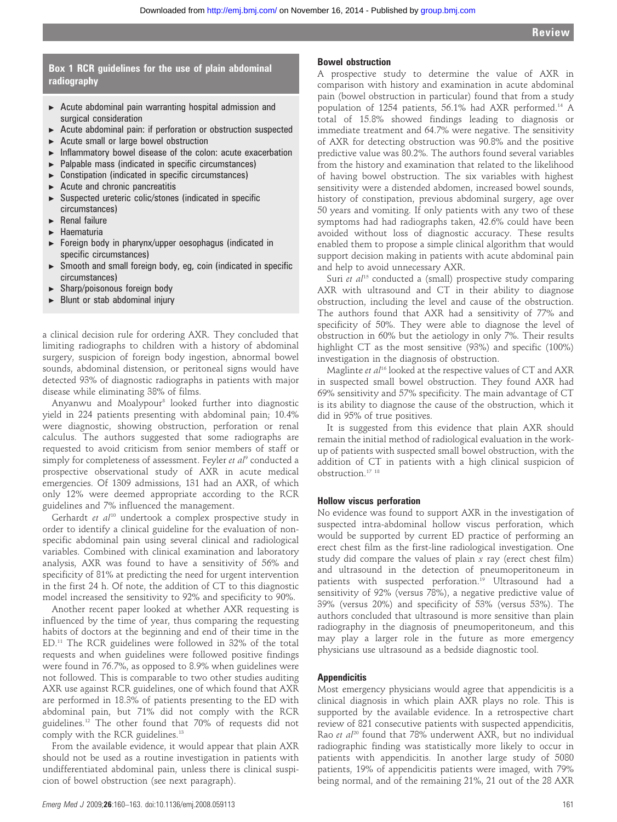### Box 1 RCR guidelines for the use of plain abdominal radiography

- $\blacktriangleright$  Acute abdominal pain warranting hospital admission and surgical consideration
- $\triangleright$  Acute abdominal pain: if perforation or obstruction suspected
- Acute small or large bowel obstruction
- Inflammatory bowel disease of the colon: acute exacerbation
- Palpable mass (indicated in specific circumstances)
- $\triangleright$  Constipation (indicated in specific circumstances)
- Acute and chronic pancreatitis
- Suspected ureteric colic/stones (indicated in specific circumstances)
- $\blacktriangleright$  Renal failure
- **Haematuria**
- Foreign body in pharynx/upper oesophagus (indicated in specific circumstances)
- Smooth and small foreign body, eg, coin (indicated in specific circumstances)
- Sharp/poisonous foreign body
- $\blacktriangleright$  Blunt or stab abdominal injury

a clinical decision rule for ordering AXR. They concluded that limiting radiographs to children with a history of abdominal surgery, suspicion of foreign body ingestion, abnormal bowel sounds, abdominal distension, or peritoneal signs would have detected 93% of diagnostic radiographs in patients with major disease while eliminating 38% of films.

Anyanwu and Moalypour<sup>8</sup> looked further into diagnostic yield in 224 patients presenting with abdominal pain; 10.4% were diagnostic, showing obstruction, perforation or renal calculus. The authors suggested that some radiographs are requested to avoid criticism from senior members of staff or simply for completeness of assessment. Feyler et al<sup>9</sup> conducted a prospective observational study of AXR in acute medical emergencies. Of 1309 admissions, 131 had an AXR, of which only 12% were deemed appropriate according to the RCR guidelines and 7% influenced the management.

Gerhardt et  $aI^{10}$  undertook a complex prospective study in order to identify a clinical guideline for the evaluation of nonspecific abdominal pain using several clinical and radiological variables. Combined with clinical examination and laboratory analysis, AXR was found to have a sensitivity of 56% and specificity of 81% at predicting the need for urgent intervention in the first 24 h. Of note, the addition of CT to this diagnostic model increased the sensitivity to 92% and specificity to 90%.

Another recent paper looked at whether AXR requesting is influenced by the time of year, thus comparing the requesting habits of doctors at the beginning and end of their time in the ED.11 The RCR guidelines were followed in 32% of the total requests and when guidelines were followed positive findings were found in 76.7%, as opposed to 8.9% when guidelines were not followed. This is comparable to two other studies auditing AXR use against RCR guidelines, one of which found that AXR are performed in 18.3% of patients presenting to the ED with abdominal pain, but 71% did not comply with the RCR guidelines.12 The other found that 70% of requests did not comply with the RCR guidelines.<sup>13</sup>

From the available evidence, it would appear that plain AXR should not be used as a routine investigation in patients with undifferentiated abdominal pain, unless there is clinical suspicion of bowel obstruction (see next paragraph).

#### Bowel obstruction

A prospective study to determine the value of AXR in comparison with history and examination in acute abdominal pain (bowel obstruction in particular) found that from a study population of 1254 patients, 56.1% had AXR performed.<sup>14</sup> A total of 15.8% showed findings leading to diagnosis or immediate treatment and 64.7% were negative. The sensitivity of AXR for detecting obstruction was 90.8% and the positive predictive value was 80.2%. The authors found several variables from the history and examination that related to the likelihood of having bowel obstruction. The six variables with highest sensitivity were a distended abdomen, increased bowel sounds, history of constipation, previous abdominal surgery, age over 50 years and vomiting. If only patients with any two of these symptoms had had radiographs taken, 42.6% could have been avoided without loss of diagnostic accuracy. These results enabled them to propose a simple clinical algorithm that would support decision making in patients with acute abdominal pain and help to avoid unnecessary AXR.

Suri et  $aI^{15}$  conducted a (small) prospective study comparing AXR with ultrasound and CT in their ability to diagnose obstruction, including the level and cause of the obstruction. The authors found that AXR had a sensitivity of 77% and specificity of 50%. They were able to diagnose the level of obstruction in 60% but the aetiology in only 7%. Their results highlight CT as the most sensitive (93%) and specific (100%) investigation in the diagnosis of obstruction.

Maglinte et al<sup>16</sup> looked at the respective values of CT and AXR in suspected small bowel obstruction. They found AXR had 69% sensitivity and 57% specificity. The main advantage of CT is its ability to diagnose the cause of the obstruction, which it did in 95% of true positives.

It is suggested from this evidence that plain AXR should remain the initial method of radiological evaluation in the workup of patients with suspected small bowel obstruction, with the addition of CT in patients with a high clinical suspicion of obstruction.17 18

#### Hollow viscus perforation

No evidence was found to support AXR in the investigation of suspected intra-abdominal hollow viscus perforation, which would be supported by current ED practice of performing an erect chest film as the first-line radiological investigation. One study did compare the values of plain  $x$  ray (erect chest film) and ultrasound in the detection of pneumoperitoneum in patients with suspected perforation.<sup>19</sup> Ultrasound had a sensitivity of 92% (versus 78%), a negative predictive value of 39% (versus 20%) and specificity of 53% (versus 53%). The authors concluded that ultrasound is more sensitive than plain radiography in the diagnosis of pneumoperitoneum, and this may play a larger role in the future as more emergency physicians use ultrasound as a bedside diagnostic tool.

#### **Appendicitis**

Most emergency physicians would agree that appendicitis is a clinical diagnosis in which plain AXR plays no role. This is supported by the available evidence. In a retrospective chart review of 821 consecutive patients with suspected appendicitis, Rao et al<sup>20</sup> found that 78% underwent AXR, but no individual radiographic finding was statistically more likely to occur in patients with appendicitis. In another large study of 5080 patients, 19% of appendicitis patients were imaged, with 79% being normal, and of the remaining 21%, 21 out of the 28 AXR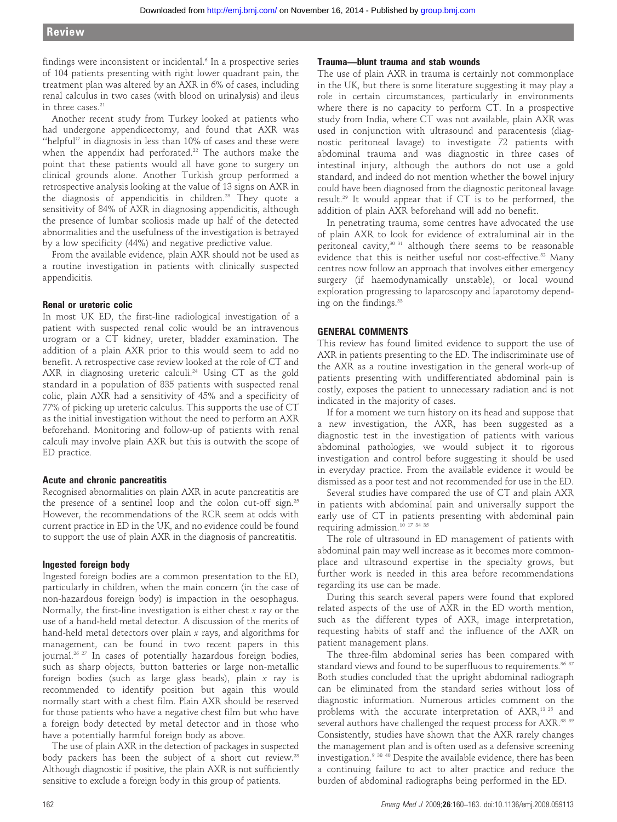findings were inconsistent or incidental.<sup>6</sup> In a prospective series of 104 patients presenting with right lower quadrant pain, the treatment plan was altered by an AXR in 6% of cases, including renal calculus in two cases (with blood on urinalysis) and ileus in three cases.<sup>21</sup>

Another recent study from Turkey looked at patients who had undergone appendicectomy, and found that AXR was ''helpful'' in diagnosis in less than 10% of cases and these were when the appendix had perforated.<sup>22</sup> The authors make the point that these patients would all have gone to surgery on clinical grounds alone. Another Turkish group performed a retrospective analysis looking at the value of 13 signs on AXR in the diagnosis of appendicitis in children.<sup>23</sup> They quote a sensitivity of 84% of AXR in diagnosing appendicitis, although the presence of lumbar scoliosis made up half of the detected abnormalities and the usefulness of the investigation is betrayed by a low specificity (44%) and negative predictive value.

From the available evidence, plain AXR should not be used as a routine investigation in patients with clinically suspected appendicitis.

#### Renal or ureteric colic

In most UK ED, the first-line radiological investigation of a patient with suspected renal colic would be an intravenous urogram or a CT kidney, ureter, bladder examination. The addition of a plain AXR prior to this would seem to add no benefit. A retrospective case review looked at the role of CT and AXR in diagnosing ureteric calculi.<sup>24</sup> Using CT as the gold standard in a population of 835 patients with suspected renal colic, plain AXR had a sensitivity of 45% and a specificity of 77% of picking up ureteric calculus. This supports the use of CT as the initial investigation without the need to perform an AXR beforehand. Monitoring and follow-up of patients with renal calculi may involve plain AXR but this is outwith the scope of ED practice.

#### Acute and chronic pancreatitis

Recognised abnormalities on plain AXR in acute pancreatitis are the presence of a sentinel loop and the colon cut-off sign.<sup>25</sup> However, the recommendations of the RCR seem at odds with current practice in ED in the UK, and no evidence could be found to support the use of plain AXR in the diagnosis of pancreatitis.

#### Ingested foreign body

Ingested foreign bodies are a common presentation to the ED, particularly in children, when the main concern (in the case of non-hazardous foreign body) is impaction in the oesophagus. Normally, the first-line investigation is either chest  $x$  ray or the use of a hand-held metal detector. A discussion of the merits of hand-held metal detectors over plain x rays, and algorithms for management, can be found in two recent papers in this journal.<sup>26 27</sup> In cases of potentially hazardous foreign bodies, such as sharp objects, button batteries or large non-metallic foreign bodies (such as large glass beads), plain  $x$  ray is recommended to identify position but again this would normally start with a chest film. Plain AXR should be reserved for those patients who have a negative chest film but who have a foreign body detected by metal detector and in those who have a potentially harmful foreign body as above.

The use of plain AXR in the detection of packages in suspected body packers has been the subject of a short cut review.<sup>28</sup> Although diagnostic if positive, the plain AXR is not sufficiently sensitive to exclude a foreign body in this group of patients.

#### Trauma—blunt trauma and stab wounds

The use of plain AXR in trauma is certainly not commonplace in the UK, but there is some literature suggesting it may play a role in certain circumstances, particularly in environments where there is no capacity to perform CT. In a prospective study from India, where CT was not available, plain AXR was used in conjunction with ultrasound and paracentesis (diagnostic peritoneal lavage) to investigate 72 patients with abdominal trauma and was diagnostic in three cases of intestinal injury, although the authors do not use a gold standard, and indeed do not mention whether the bowel injury could have been diagnosed from the diagnostic peritoneal lavage result.29 It would appear that if CT is to be performed, the addition of plain AXR beforehand will add no benefit.

In penetrating trauma, some centres have advocated the use of plain AXR to look for evidence of extraluminal air in the peritoneal cavity, $30\,31$  although there seems to be reasonable evidence that this is neither useful nor cost-effective.<sup>32</sup> Many centres now follow an approach that involves either emergency surgery (if haemodynamically unstable), or local wound exploration progressing to laparoscopy and laparotomy depending on the findings.<sup>33</sup>

#### GENERAL COMMENTS

This review has found limited evidence to support the use of AXR in patients presenting to the ED. The indiscriminate use of the AXR as a routine investigation in the general work-up of patients presenting with undifferentiated abdominal pain is costly, exposes the patient to unnecessary radiation and is not indicated in the majority of cases.

If for a moment we turn history on its head and suppose that a new investigation, the AXR, has been suggested as a diagnostic test in the investigation of patients with various abdominal pathologies, we would subject it to rigorous investigation and control before suggesting it should be used in everyday practice. From the available evidence it would be dismissed as a poor test and not recommended for use in the ED.

Several studies have compared the use of CT and plain AXR in patients with abdominal pain and universally support the early use of CT in patients presenting with abdominal pain requiring admission.<sup>10</sup> <sup>17</sup> <sup>34</sup> <sup>35</sup>

The role of ultrasound in ED management of patients with abdominal pain may well increase as it becomes more commonplace and ultrasound expertise in the specialty grows, but further work is needed in this area before recommendations regarding its use can be made.

During this search several papers were found that explored related aspects of the use of AXR in the ED worth mention, such as the different types of AXR, image interpretation, requesting habits of staff and the influence of the AXR on patient management plans.

The three-film abdominal series has been compared with standard views and found to be superfluous to requirements.<sup>36 37</sup> Both studies concluded that the upright abdominal radiograph can be eliminated from the standard series without loss of diagnostic information. Numerous articles comment on the problems with the accurate interpretation of AXR,<sup>13 25</sup> and several authors have challenged the request process for AXR.<sup>38 39</sup> Consistently, studies have shown that the AXR rarely changes the management plan and is often used as a defensive screening investigation.<sup>9 38 40</sup> Despite the available evidence, there has been a continuing failure to act to alter practice and reduce the burden of abdominal radiographs being performed in the ED.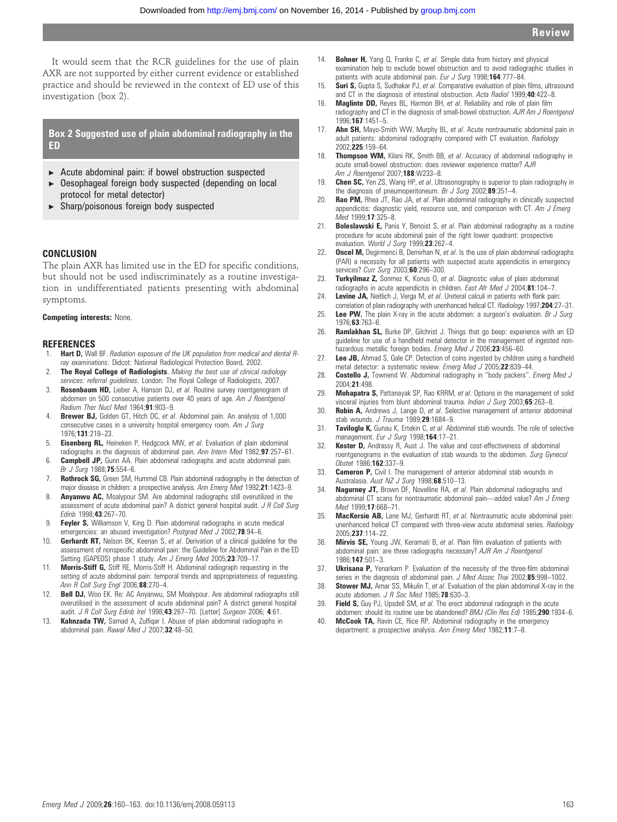It would seem that the RCR guidelines for the use of plain AXR are not supported by either current evidence or established practice and should be reviewed in the context of ED use of this investigation (box 2).

Box 2 Suggested use of plain abdominal radiography in the ED

- $\triangleright$  Acute abdominal pain: if bowel obstruction suspected
- $\triangleright$  Oesophageal foreign body suspected (depending on local protocol for metal detector)
- Sharp/poisonous foreign body suspected

#### CONCLUSION

The plain AXR has limited use in the ED for specific conditions, but should not be used indiscriminately as a routine investigation in undifferentiated patients presenting with abdominal symptoms.

#### Competing interests: None.

#### **REFERENCES**

- 1. Hart D, Wall BF. Radiation exposure of the UK population from medical and dental Rray examinations. Didcot: National Radiological Protection Board, 2002.
- The Royal College of Radiologists. Making the best use of clinical radiology services: referral guidelines. London: The Royal College of Radiologists, 2007.
- 3. Rosenbaum HD, Lieber A, Hanson DJ, et al. Routine survey roentgenogram of abdomen on 500 consecutive patients over 40 years of age. Am J Roentgenol Radium Ther Nucl Med 1964;91:903–9.
- 4. **Brewer BJ,** Golden GT, Hitch DC, et al. Abdominal pain. An analysis of 1,000 consecutive cases in a university hospital emergency room. Am J Surg 1976;131:219–23.
- 5. **Eisenberg RL, Heineken P, Hedgcock MW, et al. Evaluation of plain abdominal** radiographs in the diagnosis of abdominal pain. Ann Intern Med 1982;97:257–61.
- 6. Campbell JP, Gunn AA. Plain abdominal radiographs and acute abdominal pain. Br J Surg 1988;75:554–6.
- 7. Rothrock SG, Green SM, Hummel CB. Plain abdominal radiography in the detection of major disease in children: a prospective analysis. Ann Emerg Med 1992;21:1423-9.
- 8. **Anyanwu AC,** Moalypour SM. Are abdominal radiographs still overutilized in the assessment of acute abdominal pain? A district general hospital audit. J R Coll Surg Edinb 1998;43:267–70.
- 9. Feyler S, Williamson V, King D. Plain abdominal radiographs in acute medical emergencies: an abused investigation? Postgrad Med J 2002;78:94-6.
- 10. Gerhardt RT, Nelson BK, Keenan S, et al. Derivation of a clinical guideline for the assessment of nonspecific abdominal pain: the Guideline for Abdominal Pain in the ED Setting (GAPEDS) phase 1 study. Am J Emerg Med 2005;23:709-17.
- 11. **Morris-Stiff G,** Stiff RE, Morris-Stiff H. Abdominal radiograph requesting in the setting of acute abdominal pain: temporal trends and appropriateness of requesting. Ann R Coll Surg Engl 2006;88:270–4.
- 12. **Bell DJ,** Woo EK. Re: AC Anyanwu, SM Moalypour. Are abdominal radiographs still overutilised in the assessment of acute abdominal pain? A district general hospital audit. J R Coll Surg Edinb Irel 1998;43:267-70. [Letter] Surgeon 2006; 4:61.
- 13. Kahnzada TW, Samad A, Zulfiqar I. Abuse of plain abdominal radiographs in abdominal pain. Rawal Med J 2007;32:48-50.
- 14. **Bohner H,** Yang Q, Franke C, et al. Simple data from history and physical examination help to exclude bowel obstruction and to avoid radiographic studies in patients with acute abdominal pain. Eur J Surg 1998;164:777–84.
- 15. Suri S, Gupta S, Sudhakar PJ, et al. Comparative evaluation of plain films, ultrasound and CT in the diagnosis of intestinal obstruction. Acta Radiol 1999;40:422-8.
- 16. Maglinte DD, Reyes BL, Harmon BH, et al. Reliability and role of plain film radiography and CT in the diagnosis of small-bowel obstruction. AJR Am J Roentgenol 1996;167:1451–5.
- 17. Ahn SH, Mayo-Smith WW, Murphy BL, et al. Acute nontraumatic abdominal pain in adult patients: abdominal radiography compared with CT evaluation. Radiology 2002;225:159–64.
- 18. Thompson WM, Kilani RK, Smith BB, et al. Accuracy of abdominal radiography in acute small-bowel obstruction: does reviewer experience matter? AJR Am J Roentgenol 2007;188:W233-8.
- 19. Chen SC, Yen ZS, Wang HP, et al. Ultrasonography is superior to plain radiography in the diagnosis of pneumoperitoneum. Br J Surg 2002;89:351-4
- 20. **Rao PM,** Rhea JT, Rao JA, et al. Plain abdominal radiography in clinically suspected appendicitis: diagnostic yield, resource use, and comparison with CT. Am J Emerg Med 1999;**17**:325-8.
- 21. **Boleslawski E,** Panis Y, Benoist S, et al. Plain abdominal radiography as a routine procedure for acute abdominal pain of the right lower quadrant: prospective evaluation. World J Surg 1999;23:262-4.
- 22. **Oncel M,** Degirmenci B, Demirhan N, et al. Is the use of plain abdominal radiographs (PAR) a necessity for all patients with suspected acute appendicitis in emergency services? Curr Surg 2003;60:296-300.
- 23. Turkyilmaz Z, Sonmez K, Konus O, et al. Diagnostic value of plain abdominal radiographs in acute appendicitis in children. *East Afr Med J* 2004;81:104–7.
- 24. Levine JA, Neitlich J, Verga M, et al. Ureteral calculi in patients with flank pain: correlation of plain radiography with unenhanced helical CT. Radiology 1997;204:27-31.
- 25. Lee PW. The plain X-ray in the acute abdomen: a surgeon's evaluation. Br J Surg 1976;63:763–6.
- 26. Ramlakhan SL, Burke DP, Gilchrist J. Things that go beep: experience with an ED guideline for use of a handheld metal detector in the management of ingested nonhazardous metallic foreign bodies. Emerg Med J 2006;23:456-60.
- 27. Lee JB, Ahmad S, Gale CP. Detection of coins ingested by children using a handheld metal detector: a systematic review. Emerg Med J 2005;22:839-44
- 28. **Costello J,** Townend W. Abdominal radiography in "body packers". Emerg Med J 2004;21:498.
- 29. Mohapatra S, Pattanayak SP, Rao KRRM, et al. Options in the management of solid visceral injuries from blunt abdominal trauma. Indian J Surg 2003;65:263-8.
- 30. **Robin A,** Andrews J, Lange D, et al. Selective management of anterior abdominal stab wounds. J Trauma 1989;29:1684-9.
- 31. Taviloglu K, Gunau K, Ertekin C, et al. Abdominal stab wounds. The role of selective management. Eur J Surg 1998;164:17-21.
- 32. **Kester D,** Andrassy R, Aust J. The value and cost-effectiveness of abdominal roentgenograms in the evaluation of stab wounds to the abdomen. Surg Gynecol Obstet 1986;162:337–9.
- 33. **Cameron P,** Civil I. The management of anterior abdominal stab wounds in Australasia. Aust NZ J Surg 1998;68:510-13.
- 34. Nagurney JT, Brown DF, Novelline RA, et al. Plain abdominal radiographs and abdominal CT scans for nontraumatic abdominal pain—added value? Am J Emerg Med 1999;17:668–71.
- 35. MacKersie AB, Lane MJ, Gerhardt RT, et al. Nontraumatic acute abdominal pain: unenhanced helical CT compared with three-view acute abdominal series. Radiology 2005;237:114–22.
- 36. Mirvis SE, Young JW, Keramati B, et al. Plain film evaluation of patients with abdominal pain: are three radiographs necessary? AJR Am J Roentgenol 1986;147:501–3.
- 37. **Ukrisana P,** Yenarkarn P. Evaluation of the necessity of the three-film abdominal series in the diagnosis of abdominal pain. J Med Assoc Thai 2002;85:998-1002.
- 38. Stower MJ, Amar SS, Mikulin T, et al. Evaluation of the plain abdominal X-ray in the acute abdomen. J R Soc Med 1985;78:630-3.
- 39. Field S, Guy PJ, Upsdell SM, et al. The erect abdominal radiograph in the acute abdomen: should its routine use be abandoned? BMJ (Clin Res Ed) 1985;290:1934-6.
- 40. McCook TA, Ravin CE, Rice RP. Abdominal radiography in the emergency department: a prospective analysis. Ann Emerg Med 1982;11:7–8.